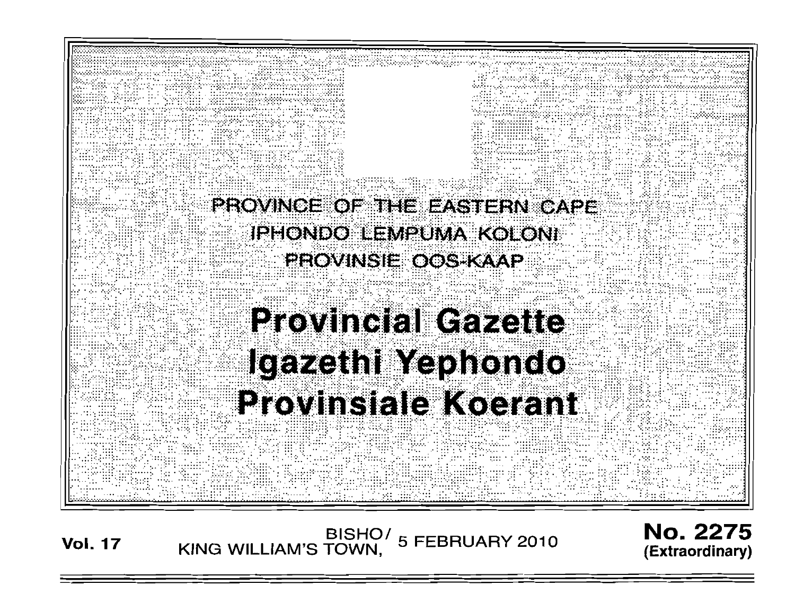

BISHO/ 5 FEBRUARY 2010<br>KING WILLIAM'S TOWN, **Vol. 17** 

**No. 2275** (Extraordinary)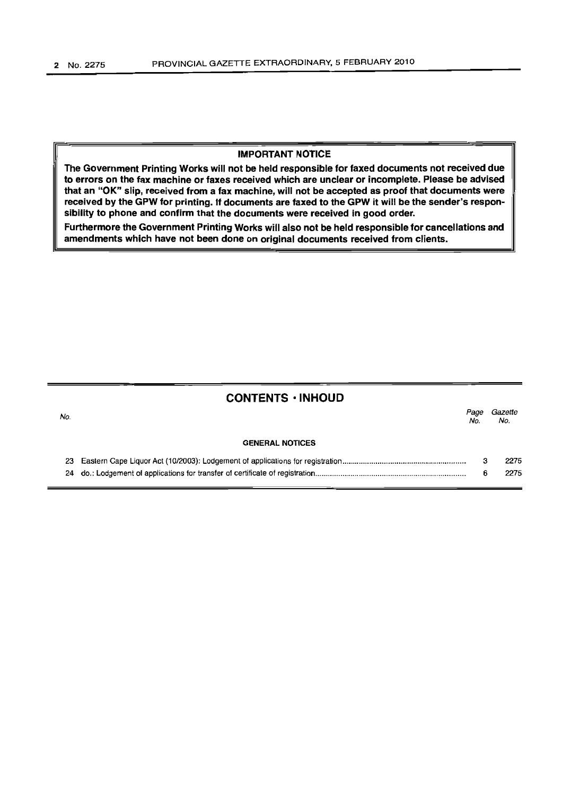No.

# IMPORTANT NOTICE

The Government Printing Works will not be held responsible for faxed documents not received due to errors on the fax machine or faxes received which are unclear or incomplete. Please be advised that an "OK" slip, received from a fax machine, will not be accepted as proof that documents were received by the GPW for printing. If documents are faxed to the GPW it will be the sender's responsibility to phone and confirm that the documents were received in good order.

Furthermore the Government Printing Works will also not be held responsible for cancellations and amendments which have not been done on original documents received from clients.

# CONTENTS ·INHOUD

| lo. |                        | Page<br>No. | Gazette<br>No. |
|-----|------------------------|-------------|----------------|
|     | <b>GENERAL NOTICES</b> |             |                |
|     |                        |             | 2275           |
|     |                        |             | 2275           |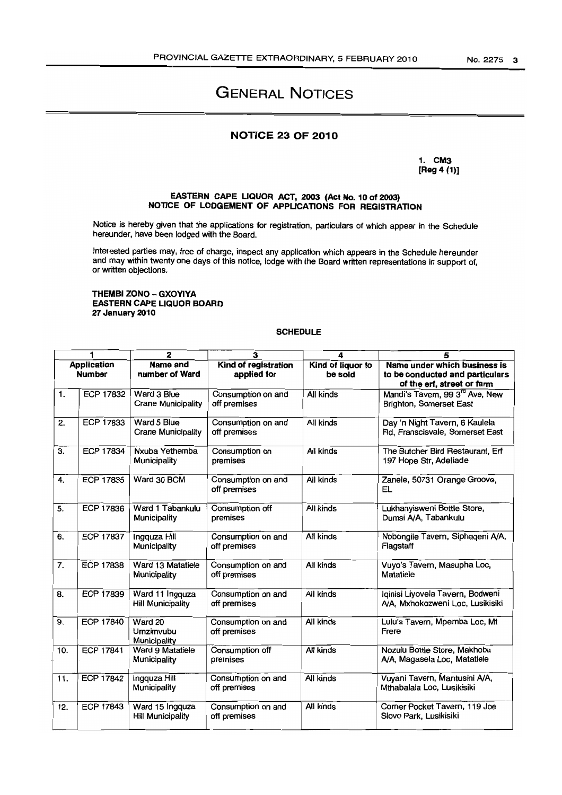# GENERAL NOTICES

## NOTICE 23 OF 2010

1. CM3 [Reg 4 (1)]

#### EASTERN CAPE LIQUOR ACT, 2003 (Act No. 10 of 2003) NOTICE OF LODGEMENT OF APPUCATIONS FOR REGISTRATION

Notice is hereby given that the applications for registration, particulars of which appear in the Schedule hereunder, have been lodged with the Board.

Interested parties may, free of charge, inspect any application which appears in the Schedule hereunder and may within twenty one days of this notice, lodge with the Board written representations in support of, or written objections.

#### THEMBI ZONO - GXOYIYA EASTERN CAPE LIQUOR BOARD 27 January 2010

I

#### **SCHEDULE**

|                                     | 1                | $\mathbf{2}$                                | 3                                   | 4                            | 5                                                                                             |
|-------------------------------------|------------------|---------------------------------------------|-------------------------------------|------------------------------|-----------------------------------------------------------------------------------------------|
| <b>Application</b><br><b>Number</b> |                  | Name and<br>number of Ward                  | Kind of registration<br>applied for | Kind of liquor to<br>be sold | Name under which business is<br>to be conducted and particulars<br>of the erf, street or farm |
| 1.                                  | ECP 17832        | Ward 3 Blue<br><b>Crane Municipality</b>    | Consumption on and<br>off premises  | All kinds                    | Mandi's Tavern, 99 3 <sup>rd</sup> Ave, New<br>Brighton, Somerset East                        |
| 2.                                  | <b>ECP 17833</b> | Ward 5 Blue<br><b>Crane Municipality</b>    | Consumption on and<br>off premises  | All kinds                    | Day 'n Night Tavern, 6 Kaulela<br>Rd, Franscisvale, Somerset East                             |
| 3.                                  | <b>ECP 17834</b> | Nxuba Yethemba<br>Municipality              | Consumption on<br>premises          | All kinds                    | The Butcher Bird Restaurant, Erf<br>197 Hope Str, Adeliade                                    |
| 4.                                  | <b>ECP 17835</b> | Ward 30 BCM                                 | Consumption on and<br>off premises  | All kinds                    | Zanele, 50731 Orange Groove,<br>EL                                                            |
| 5.                                  | <b>ECP 17836</b> | Ward 1 Tabankulu<br>Municipality            | Consumption off<br>premises         | All kinds                    | Lukhanyisweni Bottle Store,<br>Dumsi A/A, Tabankulu                                           |
| 6.                                  | <b>ECP 17837</b> | Ingquza Hill<br>Municipality                | Consumption on and<br>off premises  | All kinds                    | Nobongile Tavern, Siphaqeni A/A,<br>Flagstaff                                                 |
| 7.                                  | <b>ECP 17838</b> | Ward 13 Matatiele<br>Municipality           | Consumption on and<br>off premises  | All kinds                    | Vuyo's Tavern, Masupha Loc,<br>Matatiele                                                      |
| 8.                                  | ECP 17839        | Ward 11 Ingquza<br><b>Hill Municipality</b> | Consumption on and<br>off premises  | All kinds                    | Iginisi Liyovela Tavern, Bodweni<br>A/A, Mxhokozweni Loc, Lusikisiki                          |
| 9.                                  | <b>ECP 17840</b> | Ward 20<br>Umzimvubu<br>Municipality        | Consumption on and<br>off premises  | All kinds                    | Lulu's Tavern, Mpemba Loc, Mt<br>Frere                                                        |
| 10.                                 | <b>ECP 17841</b> | Ward 9 Matatiele<br>Municipality            | Consumption off<br>premises         | All kinds                    | Nozulu Bottle Store, Makhoba<br>A/A, Magasela Loc, Matatiele                                  |
| 11.                                 | <b>ECP 17842</b> | Ingquza Hill<br>Municipality                | Consumption on and<br>off premises  | All kinds                    | Vuyani Tavern, Mantusini A/A,<br>Mthabalala Loc, Lusikisiki                                   |
| 12.                                 | <b>ECP 17843</b> | Ward 15 Ingquza<br><b>Hill Municipality</b> | Consumption on and<br>off premises  | All kinds                    | Corner Pocket Tavern, 119 Joe<br>Slovo Park, Lusikisiki                                       |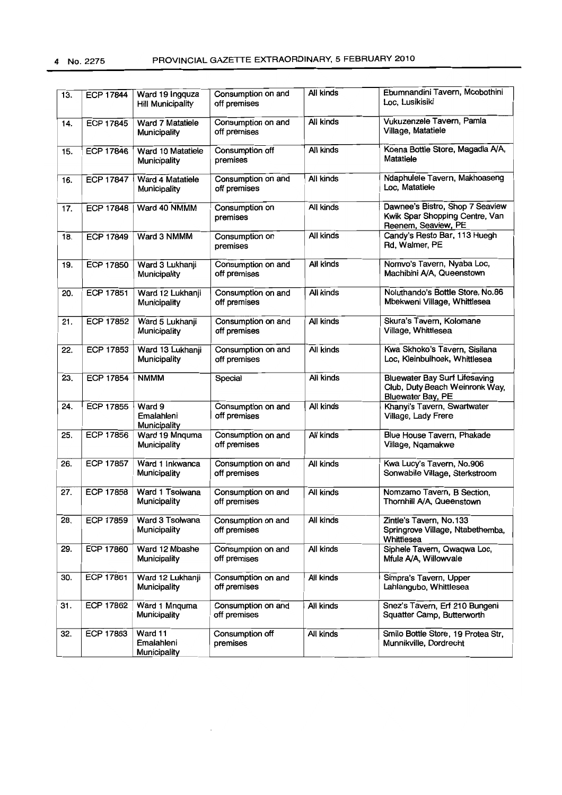| 13. | <b>ECP 17844</b> | Ward 19 Ingquza<br><b>Hill Municipality</b> | Consumption on and<br>off premises | All kinds | Ebumnandini Tavern, Mcobothini<br>Loc, Lusikisiki                                           |
|-----|------------------|---------------------------------------------|------------------------------------|-----------|---------------------------------------------------------------------------------------------|
| 14. | <b>ECP 17845</b> | Ward 7 Matatiele<br>Municipality            | Consumption on and<br>off premises | All kinds | Vukuzenzele Tavern, Pamla<br>Village, Matatiele                                             |
| 15. | <b>ECP 17846</b> | Ward 10 Matatiele<br>Municipality           | Consumption off<br>premises        | All kinds | Koena Bottle Store, Magadla A/A,<br>Matatiele                                               |
| 16. | <b>ECP 17847</b> | Ward 4 Matatiele<br>Municipality            | Consumption on and<br>off premises | All kinds | Ndaphulele Tavern, Makhoaseng<br>Loc, Matatiele                                             |
| 17. | <b>ECP 17848</b> | Ward 40 NMMM                                | Consumption on<br>premises         | All kinds | Dawnee's Bistro, Shop 7 Seaview<br>Kwik Spar Shopping Centre, Van<br>Reenem, Seaview, PE    |
| 18. | ECP 17849        | Ward 3 NMMM                                 | Consumption on<br>premises         | All kinds | Candy's Resto Bar, 113 Huegh<br>Rd, Walmer, PE                                              |
| 19. | <b>ECP 17850</b> | Ward 3 Lukhanji<br>Municipality             | Consumption on and<br>off premises | All kinds | Nomvo's Tavern, Nyaba Loc,<br>Machibini A/A, Queenstown                                     |
| 20. | ECP 17851        | Ward 12 Lukhanji<br>Municipality            | Consumption on and<br>off premises | All kinds | Noluthando's Bottle Store, No.86<br>Mbekweni Village, Whittlesea                            |
| 21. | ECP 17852        | Ward 5 Lukhanji<br>Municipality             | Consumption on and<br>off premises | All kinds | Skura's Tavern, Kolomane<br>Village, Whittlesea                                             |
| 22. | ECP 17853        | Ward 13 Lukhanji<br>Municipality            | Consumption on and<br>off premises | All kinds | Kwa Skhoko's Tavern, Sisilana<br>Loc, Kleinbulhoek, Whittlesea                              |
| 23. | <b>ECP 17854</b> | <b>NMMM</b>                                 | Special                            | All kinds | <b>Bluewater Bay Surf Lifesaving</b><br>Club, Duty Beach Weinronk Way,<br>Bluewater Bay, PE |
| 24. | ECP 17855        | Ward 9<br>Emalahleni<br>Municipality        | Consumption on and<br>off premises | All kinds | Khanyi's Tavern, Swartwater<br>Village, Lady Frere                                          |
| 25. | ECP 17856        | Ward 19 Mnquma<br>Municipality              | Consumption on and<br>off premises | All kinds | Blue House Tavern, Phakade<br>Village, Ngamakwe                                             |
| 26. | <b>ECP 17857</b> | Ward 1 Inkwanca<br>Municipality             | Consumption on and<br>off premises | All kinds | Kwa Lucy's Tavern, No.906<br>Sonwabile Village, Sterkstroom                                 |
| 27. | <b>ECP 17858</b> | Ward 1 Tsolwana<br>Municipality             | Consumption on and<br>off premises | All kinds | Nomzamo Tavern, B Section,<br>Thornhill A/A, Queenstown                                     |
| 28. | ECP 17859        | Ward 3 Tsolwana<br>Municipality             | Consumption on and<br>off premises | All kinds | Zintle's Tavern, No.133<br>Springrove Village, Ntabethemba,<br>Whittlesea                   |
| 29. | <b>ECP 17860</b> | Ward 12 Mbashe<br>Municipality              | Consumption on and<br>off premises | All kinds | Siphele Tavern, Qwaqwa Loc,<br>Mfula A/A, Willowvale                                        |
| 30. | <b>ECP 17861</b> | Ward 12 Lukhanji<br>Municipality            | Consumption on and<br>off premises | All kinds | Simpra's Tavern, Upper<br>Lahlangubo, Whittlesea                                            |
| 31. | ECP 17862        | Ward 1 Mnguma<br>Municipality               | Consumption on and<br>off premises | All kinds | Snez's Tavern, Erf 210 Bungeni<br>Squatter Camp, Butterworth                                |
| 32. | ECP 17863        | Ward 11<br>Emalahleni<br>Municipality       | Consumption off<br>premises        | All kinds | Smilo Bottle Store, 19 Protea Str,<br>Munnikville, Dordrecht                                |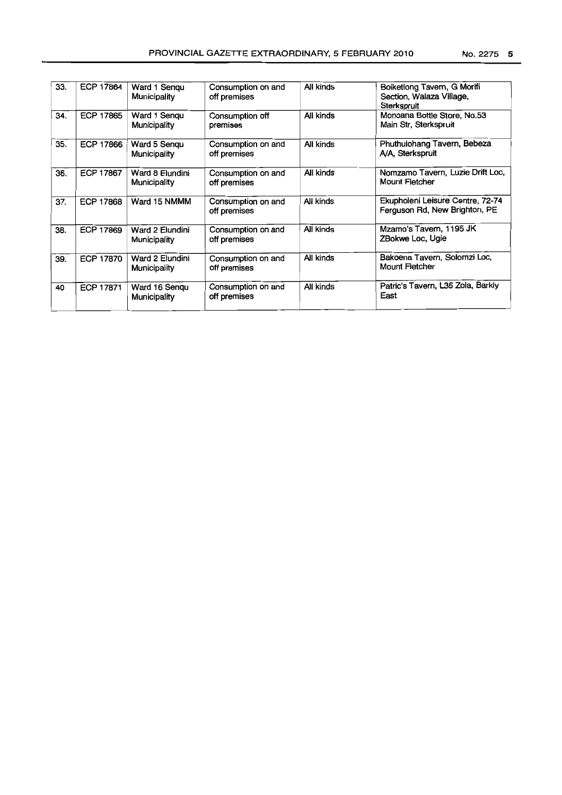| 33. | <b>ECP 17864</b> | Ward 1 Sengu<br>Municipality    | Consumption on and<br>off premises | All kinds | Boiketlong Tavern, G Morifi<br>Section, Walaza Village,<br>Sterkspruit |
|-----|------------------|---------------------------------|------------------------------------|-----------|------------------------------------------------------------------------|
| 34. | <b>ECP 17865</b> | Ward 1 Sengu<br>Municipality    | Consumption off<br>premises        | All kinds | Monoana Bottle Store, No.53<br>Main Str, Sterkspruit                   |
| 35. | <b>ECP 17866</b> | Ward 5 Sengu<br>Municipality    | Consumption on and<br>off premises | All kinds | Phuthulohang Tavern, Bebeza<br>A/A, Sterkspruit                        |
| 36. | <b>ECP 17867</b> | Ward 8 Elundini<br>Municipality | Consumption on and<br>off premises | All kinds | Nomzamo Tavern, Luzie Drift Loc,<br><b>Mount Fletcher</b>              |
|     |                  | $\cdots$                        |                                    | .         | $\sim$ $\sim$<br>----                                                  |

|     |                  |                                 |                                    |           | OIGI NOM UIL                                                      |
|-----|------------------|---------------------------------|------------------------------------|-----------|-------------------------------------------------------------------|
| 34. | <b>ECP 17865</b> | Ward 1 Sengu<br>Municipality    | Consumption off<br>premises        | All kinds | Monoana Bottle Store, No.53<br>Main Str, Sterkspruit              |
| 35. | ECP 17866        | Ward 5 Sengu<br>Municipality    | Consumption on and<br>off premises | All kinds | Phuthulohang Tavern, Bebeza<br>A/A, Sterkspruit                   |
| 36. | <b>ECP 17867</b> | Ward 8 Elundini<br>Municipality | Consumption on and<br>off premises | All kinds | Nomzamo Tavern, Luzie Drift Loc,<br><b>Mount Fletcher</b>         |
| 37. | <b>ECP 17868</b> | Ward 15 NMMM                    | Consumption on and<br>off premises | All kinds | Ekupholeni Leisure Centre, 72-74<br>Ferguson Rd, New Brighton, PE |
| 38. | <b>ECP 17869</b> | Ward 2 Elundini<br>Municipality | Consumption on and<br>off premises | All kinds | Mzamo's Tavern, 1195 JK<br>ZBokwe Loc, Ugie                       |
| 39. | <b>ECP 17870</b> | Ward 2 Elundini<br>Municipality | Consumption on and<br>off premises | All kinds | Bakoena Tavern, Solomzi Loc,<br>Mount Fletcher                    |
| 40  | ECP 17871        | Ward 16 Sengu<br>Municipality   | Consumption on and<br>off premises | All kinds | Patric's Tavern, L36 Zola, Barkly<br>East                         |